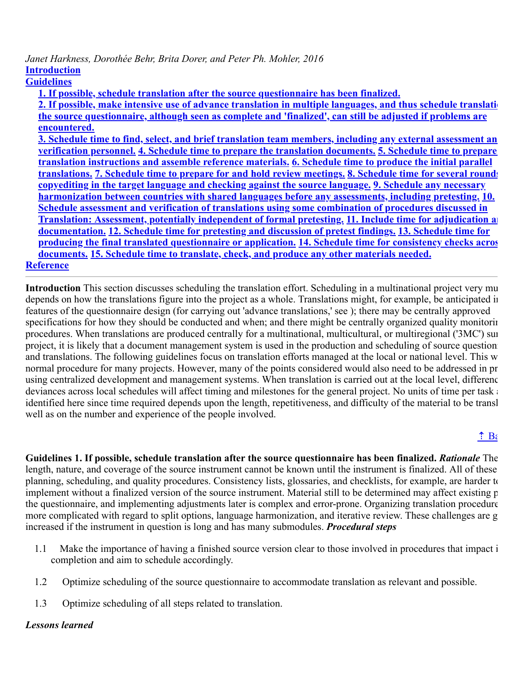# *Janet Harkness, Dorothée Behr, Brita Dorer, and Peter Ph. Mohler, 2016* **[Introduction](#page-0-0)**

**[Guidelines](#page-0-1)**

**[1. If possible, schedule translation after the source questionnaire has been finalized.](#page-0-1)**

**[2. If possible, make intensive use of advance translation in multiple languages, and thus schedule translatio](#page-1-0) the source questionnaire, although seen as complete and 'finalized', can still be adjusted if problems are encountered.**

**[3. Schedule time to find, select, and brief translation team members, including any external assessment an](#page-1-1) verification personnel. [4. Schedule time to prepare the translation documents.](#page-2-0) 5. Schedule time to prepare [translation instructions and assemble reference materials.](#page-2-1) 6. Schedule time to produce the initial parallel translations. [7. Schedule time to prepare for and hold review meetings.](#page-3-1) 8. Schedule time for several rounds [copyediting in the target language and checking against the source language.](#page-4-0) 9. Schedule any necessary [harmonization between countries with shared languages before any assessments, including pretesting.](#page-4-1) 10. [Schedule assessment and verification of translations using some combination of procedures discussed in](#page-4-2) [Translation: Assessment, potentially independent of formal pretesting.](#page-5-0) 11. Include time for adjudication an documentation. [12. Schedule time for pretesting and discussion of pretest findings.](#page-5-2) 13. Schedule time for producing the final translated questionnaire or application. 14. Schedule time for consistency checks acros documents. [15. Schedule time to translate, check, and produce any other materials needed.](#page-5-3) [Reference](#page-6-1)**

<span id="page-0-0"></span>**Introduction** This section discusses scheduling the translation effort. Scheduling in a multinational project very mu depends on how the translations figure into the project as a whole. Translations might, for example, be anticipated in features of the questionnaire design (for carrying out 'advance translations,' see ); there may be centrally approved specifications for how they should be conducted and when; and there might be centrally organized quality monitorin procedures. When translations are produced centrally for a multinational, multicultural, or multiregional ('3MC') sur project, it is likely that a document management system is used in the production and scheduling of source question and translations. The following guidelines focus on translation efforts managed at the local or national level. This w normal procedure for many projects. However, many of the points considered would also need to be addressed in pr using centralized development and management systems. When translation is carried out at the local level, differenc deviances across local schedules will affect timing and milestones for the general project. No units of time per task at identified here since time required depends upon the length, repetitiveness, and difficulty of the material to be transl well as on the number and experience of the people involved.

# $\hat{\mathbf{a}}$  Ba

<span id="page-0-1"></span>**Guidelines 1. If possible, schedule translation after the source questionnaire has been finalized.** *Rationale* The length, nature, and coverage of the source instrument cannot be known until the instrument is finalized. All of these planning, scheduling, and quality procedures. Consistency lists, glossaries, and checklists, for example, are harder to implement without a finalized version of the source instrument. Material still to be determined may affect existing p the questionnaire, and implementing adjustments later is complex and error-prone. Organizing translation procedure more complicated with regard to split options, language harmonization, and iterative review. These challenges are g increased if the instrument in question is long and has many submodules. *Procedural steps*

- 1.1 Make the importance of having a finished source version clear to those involved in procedures that impact i completion and aim to schedule accordingly.
- 1.2 Optimize scheduling of the source questionnaire to accommodate translation as relevant and possible.
- 1.3 Optimize scheduling of all steps related to translation.

## *Lessons learned*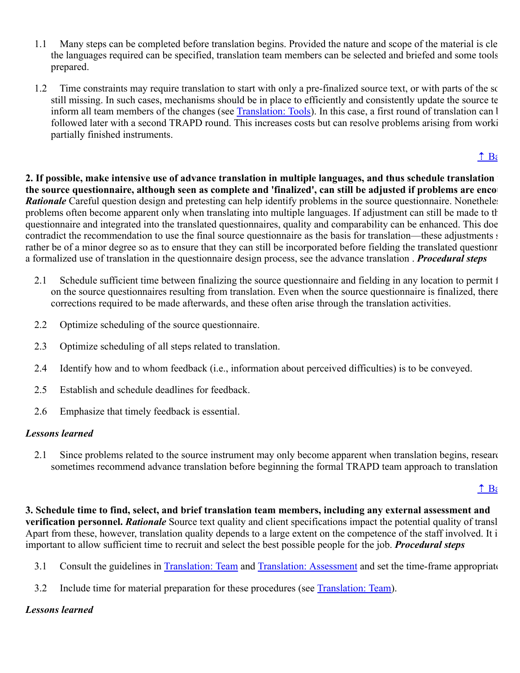- 1.1 Many steps can be completed before translation begins. Provided the nature and scope of the material is cle the languages required can be specified, translation team members can be selected and briefed and some tools prepared.
- 1.2 Time constraints may require translation to start with only a pre-finalized source text, or with parts of the sc still missing. In such cases, mechanisms should be in place to efficiently and consistently update the source te inform all team members of the changes (see Translation: Tools). In this case, a first round of translation can l followed later with a second TRAPD round. This increases costs but can resolve problems arising from worki partially finished instruments.

# $\uparrow$  Be

<span id="page-1-0"></span>**2. If possible, make intensive use of advance translation in multiple languages, and thus schedule translation w the source questionnaire, although seen as complete and 'finalized', can still be adjusted if problems are encou** *Rationale* Careful question design and pretesting can help identify problems in the source questionnaire. Nonetheles problems often become apparent only when translating into multiple languages. If adjustment can still be made to th questionnaire and integrated into the translated questionnaires, quality and comparability can be enhanced. This doe contradict the recommendation to use the final source questionnaire as the basis for translation—these adjustments s rather be of a minor degree so as to ensure that they can still be incorporated before fielding the translated questionn a formalized use of translation in the questionnaire design process, see the advance translation . *Procedural steps*

- 2.1 Schedule sufficient time between finalizing the source questionnaire and fielding in any location to permit f on the source questionnaires resulting from translation. Even when the source questionnaire is finalized, there corrections required to be made afterwards, and these often arise through the translation activities.
- 2.2 Optimize scheduling of the source questionnaire.
- 2.3 Optimize scheduling of all steps related to translation.
- 2.4 Identify how and to whom feedback (i.e., information about perceived difficulties) is to be conveyed.
- 2.5 Establish and schedule deadlines for feedback.
- 2.6 Emphasize that timely feedback is essential.

## *Lessons learned*

2.1 Since problems related to the source instrument may only become apparent when translation begins, researce sometimes recommend advance translation before beginning the formal TRAPD team approach to translation

#### $\uparrow$  Ba

<span id="page-1-1"></span>**3. Schedule time to find, select, and brief translation team members, including any external assessment and verification personnel.** *Rationale* Source text quality and client specifications impact the potential quality of transl Apart from these, however, translation quality depends to a large extent on the competence of the staff involved. It i important to allow sufficient time to recruit and select the best possible people for the job. *Procedural steps*

- 3.1 Consult the guidelines in Translation: Team and Translation: Assessment and set the time-frame appropriate
- 3.2 Include time for material preparation for these procedures (see Translation: Team).

## *Lessons learned*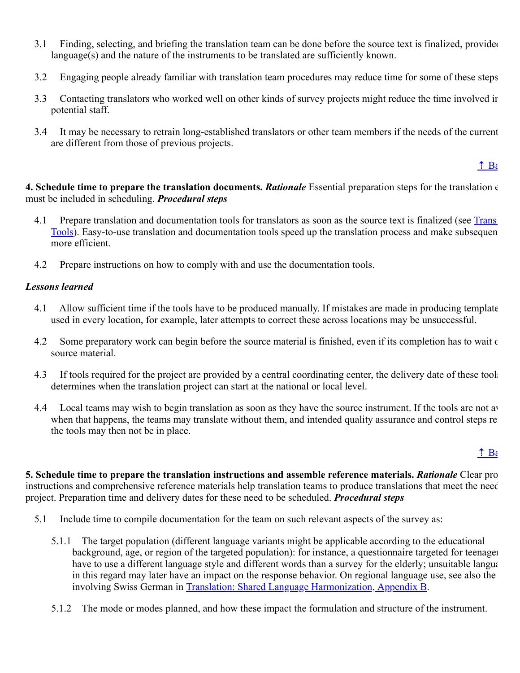- 3.1 Finding, selecting, and briefing the translation team can be done before the source text is finalized, provided language(s) and the nature of the instruments to be translated are sufficiently known.
- 3.2 Engaging people already familiar with translation team procedures may reduce time for some of these steps
- 3.3 Contacting translators who worked well on other kinds of survey projects might reduce the time involved in potential staff.
- 3.4 It may be necessary to retrain long-established translators or other team members if the needs of the current are different from those of previous projects.

#### $\uparrow$  Ba

<span id="page-2-0"></span>**4. Schedule time to prepare the translation documents.** *Rationale* Essential preparation steps for the translation e must be included in scheduling. *Procedural steps*

- 4.1 Prepare translation and documentation tools for translators as soon as the source text is finalized (see Transl Tools). Easy-to-use translation and documentation tools speed up the translation process and make subsequen more efficient.
- 4.2 Prepare instructions on how to comply with and use the documentation tools.

#### *Lessons learned*

- 4.1 Allow sufficient time if the tools have to be produced manually. If mistakes are made in producing template used in every location, for example, later attempts to correct these across locations may be unsuccessful.
- 4.2 Some preparatory work can begin before the source material is finished, even if its completion has to wait c source material.
- 4.3 If tools required for the project are provided by a central coordinating center, the delivery date of these tools determines when the translation project can start at the national or local level.
- 4.4 Local teams may wish to begin translation as soon as they have the source instrument. If the tools are not av when that happens, the teams may translate without them, and intended quality assurance and control steps re the tools may then not be in place.

## $\hat{\mathbf{a}}$  Ba

<span id="page-2-1"></span>**5. Schedule time to prepare the translation instructions and assemble reference materials.** *Rationale* Clear proj instructions and comprehensive reference materials help translation teams to produce translations that meet the need project. Preparation time and delivery dates for these need to be scheduled. *Procedural steps*

- 5.1 Include time to compile documentation for the team on such relevant aspects of the survey as:
	- 5.1.1 The target population (different language variants might be applicable according to the educational background, age, or region of the targeted population): for instance, a questionnaire targeted for teenager have to use a different language style and different words than a survey for the elderly; unsuitable langua in this regard may later have an impact on the response behavior. On regional language use, see also the involving Swiss German in [Translation: Shared Language Harmonization, Appendix B.](https://ccsg.isr.umich.edu/chapters/translation/harmonization/appendix-b/)
	- 5.1.2 The mode or modes planned, and how these impact the formulation and structure of the instrument.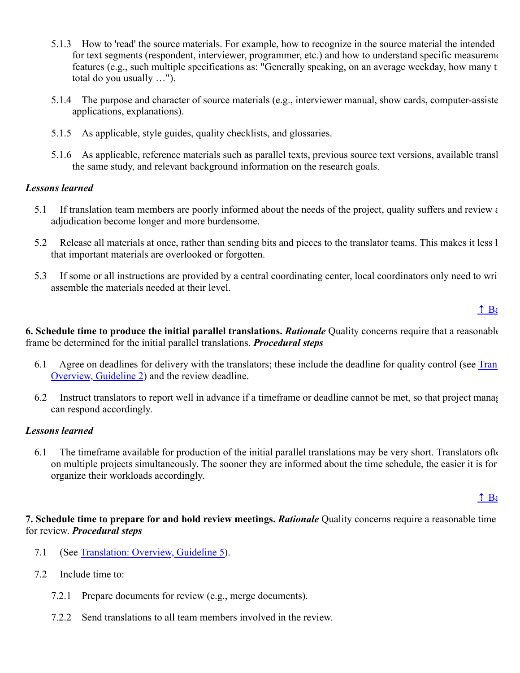- 5.1.3 How to 'read' the source materials. For example, how to recognize in the source material the intended res for text segments (respondent, interviewer, programmer, etc.) and how to understand specific measurement features (e.g., such multiple specifications as: "Generally speaking, on an average weekday, how many t total do you usually …").
- 5.1.4 The purpose and character of source materials (e.g., interviewer manual, show cards, computer-assiste applications, explanations).
- 5.1.5 As applicable, style guides, quality checklists, and glossaries.
- 5.1.6 As applicable, reference materials such as parallel texts, previous source text versions, available transl the same study, and relevant background information on the research goals.

#### *Lessons learned*

- 5.1 If translation team members are poorly informed about the needs of the project, quality suffers and review a adjudication become longer and more burdensome.
- 5.2 Release all materials at once, rather than sending bits and pieces to the translator teams. This makes it less l that important materials are overlooked or forgotten.
- 5.3 If some or all instructions are provided by a central coordinating center, local coordinators only need to writ assemble the materials needed at their level.

 $\uparrow$  Ba

<span id="page-3-0"></span>**6. Schedule time to produce the initial parallel translations.** *Rationale* Quality concerns require that a reasonable frame be determined for the initial parallel translations. *Procedural steps*

- 6.1 [Agree on deadlines for delivery with the translators; these include the deadline for quality control \(see Tran](https://ccsg.isr.umich.edu/chapters/translation/overview/#two) Overview, Guideline 2) and the review deadline.
- 6.2 Instruct translators to report well in advance if a timeframe or deadline cannot be met, so that project manag can respond accordingly.

#### *Lessons learned*

6.1 The timeframe available for production of the initial parallel translations may be very short. Translators ofte on multiple projects simultaneously. The sooner they are informed about the time schedule, the easier it is for organize their workloads accordingly.

#### $\uparrow$  Ba

<span id="page-3-1"></span>**7. Schedule time to prepare for and hold review meetings.** *Rationale* Quality concerns require a reasonable time for review. *Procedural steps*

- 7.1 (See [Translation: Overview, Guideline 5](https://ccsg.isr.umich.edu/chapters/translation/overview/#five)).
- 7.2 Include time to:
	- 7.2.1 Prepare documents for review (e.g., merge documents).
	- 7.2.2 Send translations to all team members involved in the review.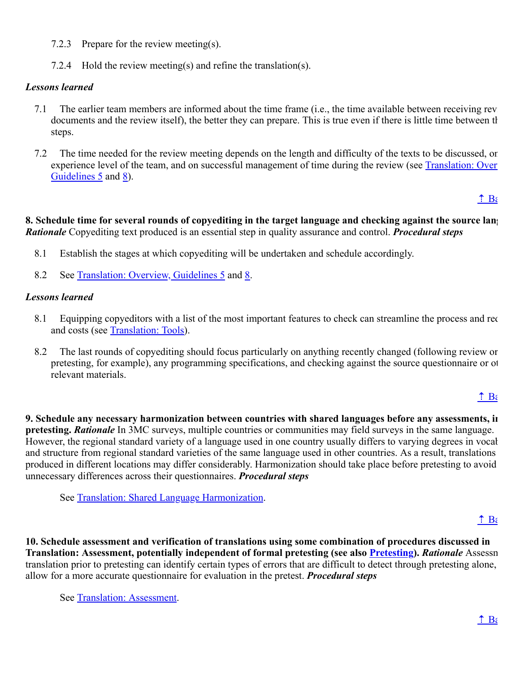- 7.2.3 Prepare for the review meeting(s).
- 7.2.4 Hold the review meeting(s) and refine the translation(s).

## *Lessons learned*

- 7.1 The earlier team members are informed about the time frame (i.e., the time available between receiving revi documents and the review itself), the better they can prepare. This is true even if there is little time between th steps.
- 7.2 The time needed for the review meeting depends on the length and difficulty of the texts to be discussed, on experience level of the team, and on successful management of time during the review (see Translation: Over Guidelines 5 and [8\)](https://ccsg.isr.umich.edu/chapters/translation/overview/#eight).

 $\hat{\mathbf{a}}$  Ba

<span id="page-4-0"></span>**8. Schedule time for several rounds of copyediting in the target language and checking against the source lang** *Rationale* Copyediting text produced is an essential step in quality assurance and control. *Procedural steps*

- 8.1 Establish the stages at which copyediting will be undertaken and schedule accordingly.
- 8.2 See [Translation: Overview, Guidelines 5](https://ccsg.isr.umich.edu/chapters/translation/overview/#five) and [8](https://ccsg.isr.umich.edu/chapters/translation/overview/#eight).

## *Lessons learned*

- 8.1 Equipping copyeditors with a list of the most important features to check can streamline the process and red and costs (see Translation: Tools).
- 8.2 The last rounds of copyediting should focus particularly on anything recently changed (following review or pretesting, for example), any programming specifications, and checking against the source questionnaire or ot relevant materials.

#### $\hat{\mathbf{a}}$  Ba

<span id="page-4-1"></span>**9. Schedule any necessary harmonization between countries with shared languages before any assessments, in pretesting.** *Rationale* In 3MC surveys, multiple countries or communities may field surveys in the same language. However, the regional standard variety of a language used in one country usually differs to varying degrees in vocab and structure from regional standard varieties of the same language used in other countries. As a result, translations produced in different locations may differ considerably. Harmonization should take place before pretesting to avoid unnecessary differences across their questionnaires. *Procedural steps*

See [Translation: Shared Language Harmonization](https://ccsg.isr.umich.edu/chapters/translation/harmonization/).

## $\hat{\mathbf{B}}$

<span id="page-4-2"></span>**10. Schedule assessment and verification of translations using some combination of procedures discussed in Translation: Assessment, potentially independent of formal pretesting (see also [Pretesting](https://ccsg.isr.umich.edu/chapters/pretesting/)).** *Rationale* Assessm translation prior to pretesting can identify certain types of errors that are difficult to detect through pretesting alone, allow for a more accurate questionnaire for evaluation in the pretest. *Procedural steps*

See Translation: Assessment.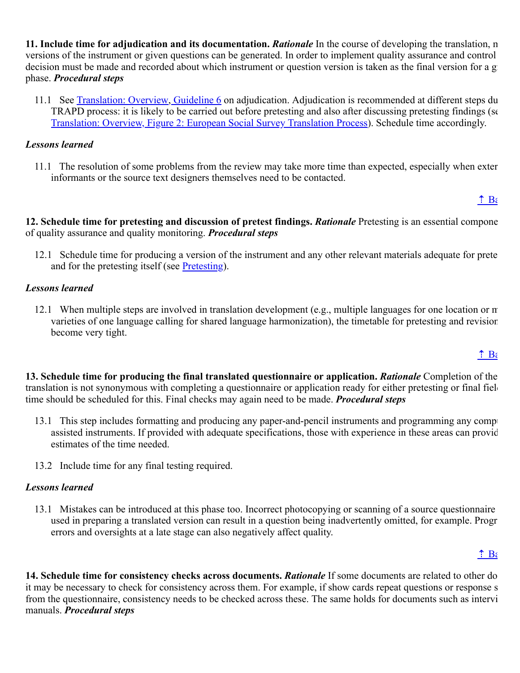<span id="page-5-0"></span>**11. Include time for adjudication and its documentation.** *Rationale* In the course of developing the translation, m versions of the instrument or given questions can be generated. In order to implement quality assurance and control decision must be made and recorded about which instrument or question version is taken as the final version for a gi phase. *Procedural steps*

11.1 See [Translation: Overview, Guideline 6](https://ccsg.isr.umich.edu/chapters/translation/overview/#six) on adjudication. Adjudication is recommended at different steps du TRAPD process: it is likely to be carried out before pretesting and also after discussing pretesting findings (se [Translation: Overview, Figure 2: European Social Survey Translation Process\)](https://ccsg.isr.umich.edu/chapters/translation/overview/#figure-two). Schedule time accordingly.

#### *Lessons learned*

11.1 The resolution of some problems from the review may take more time than expected, especially when exter informants or the source text designers themselves need to be contacted.

#### $\hat{\textbf{a}}$  Ba

<span id="page-5-1"></span>**12. Schedule time for pretesting and discussion of pretest findings.** *Rationale* Pretesting is an essential compone of quality assurance and quality monitoring. *Procedural steps*

12.1 Schedule time for producing a version of the instrument and any other relevant materials adequate for prete and for the pretesting itself (see Pretesting).

## *Lessons learned*

12.1 When multiple steps are involved in translation development (e.g., multiple languages for one location or m varieties of one language calling for shared language harmonization), the timetable for pretesting and revision become very tight.

## $\hat{\textbf{I}}$  Bi

<span id="page-5-2"></span>**13. Schedule time for producing the final translated questionnaire or application.** *Rationale* Completion of the translation is not synonymous with completing a questionnaire or application ready for either pretesting or final field time should be scheduled for this. Final checks may again need to be made. *Procedural steps*

- 13.1 This step includes formatting and producing any paper-and-pencil instruments and programming any compu assisted instruments. If provided with adequate specifications, those with experience in these areas can provid estimates of the time needed.
- 13.2 Include time for any final testing required.

## *Lessons learned*

13.1 Mistakes can be introduced at this phase too. Incorrect photocopying or scanning of a source questionnaire used in preparing a translated version can result in a question being inadvertently omitted, for example. Progr errors and oversights at a late stage can also negatively affect quality.

## $\uparrow$  Be

<span id="page-5-3"></span>**14. Schedule time for consistency checks across documents.** *Rationale* If some documents are related to other do it may be necessary to check for consistency across them. For example, if show cards repeat questions or response s from the questionnaire, consistency needs to be checked across these. The same holds for documents such as intervi manuals. *Procedural steps*